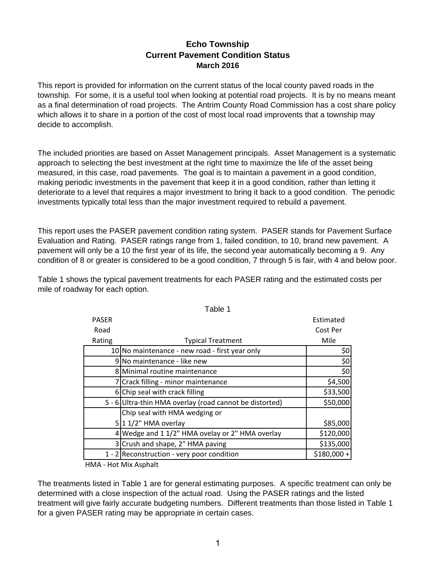## **Echo Township Current Pavement Condition Status March 2016**

This report is provided for information on the current status of the local county paved roads in the township. For some, it is a useful tool when looking at potential road projects. It is by no means meant as a final determination of road projects. The Antrim County Road Commission has a cost share policy which allows it to share in a portion of the cost of most local road improvents that a township may decide to accomplish.

The included priorities are based on Asset Management principals. Asset Management is a systematic approach to selecting the best investment at the right time to maximize the life of the asset being measured, in this case, road pavements. The goal is to maintain a pavement in a good condition, making periodic investments in the pavement that keep it in a good condition, rather than letting it deteriorate to a level that requires a major investment to bring it back to a good condition. The periodic investments typically total less than the major investment required to rebuild a pavement.

This report uses the PASER pavement condition rating system. PASER stands for Pavement Surface Evaluation and Rating. PASER ratings range from 1, failed condition, to 10, brand new pavement. A pavement will only be a 10 the first year of its life, the second year automatically becoming a 9. Any condition of 8 or greater is considered to be a good condition, 7 through 5 is fair, with 4 and below poor.

Table 1 shows the typical pavement treatments for each PASER rating and the estimated costs per mile of roadway for each option.

|              | l avic l                                                |              |
|--------------|---------------------------------------------------------|--------------|
| <b>PASER</b> |                                                         | Estimated    |
| Road         |                                                         | Cost Per     |
| Rating       | <b>Typical Treatment</b>                                | Mile         |
|              | 10 No maintenance - new road - first year only          | \$0          |
|              | 9 No maintenance - like new                             | \$0          |
|              | 8 Minimal routine maintenance                           | \$0          |
|              | 7 Crack filling - minor maintenance                     | \$4,500      |
|              | 6 Chip seal with crack filling                          | \$33,500     |
|              | 5 - 6 Ultra-thin HMA overlay (road cannot be distorted) | \$50,000     |
|              | Chip seal with HMA wedging or                           |              |
|              | $5 11/2"$ HMA overlay                                   | \$85,000     |
|              | 4 Wedge and 1 1/2" HMA ovelay or 2" HMA overlay         | \$120,000    |
|              | 3 Crush and shape, 2" HMA paving                        | \$135,000    |
|              | 1 - 2 Reconstruction - very poor condition              | $$180,000 +$ |

Table 1

HMA ‐ Hot Mix Asphalt

The treatments listed in Table 1 are for general estimating purposes. A specific treatment can only be determined with a close inspection of the actual road. Using the PASER ratings and the listed treatment will give fairly accurate budgeting numbers. Different treatments than those listed in Table 1 for a given PASER rating may be appropriate in certain cases.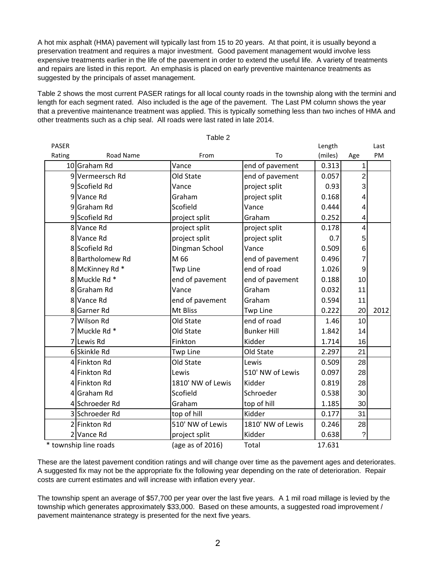A hot mix asphalt (HMA) pavement will typically last from 15 to 20 years. At that point, it is usually beyond a preservation treatment and requires a major investment. Good pavement management would involve less expensive treatments earlier in the life of the pavement in order to extend the useful life. A variety of treatments and repairs are listed in this report. An emphasis is placed on early preventive maintenance treatments as suggested by the principals of asset management.

Table 2 shows the most current PASER ratings for all local county roads in the township along with the termini and length for each segment rated. Also included is the age of the pavement. The Last PM column shows the year that a preventive maintenance treatment was applied. This is typically something less than two inches of HMA and other treatments such as a chip seal. All roads were last rated in late 2014.

 $T$ able 2

|              |                       | ι αυισ ∠          |                    |         |                |      |
|--------------|-----------------------|-------------------|--------------------|---------|----------------|------|
| <b>PASER</b> |                       |                   |                    | Length  |                | Last |
| Rating       | Road Name             | From              | To                 | (miles) | Age            | PM   |
|              | 10 Graham Rd          | Vance             | end of pavement    | 0.313   | 1              |      |
|              | 9 Vermeersch Rd       | Old State         | end of pavement    | 0.057   | $\overline{2}$ |      |
|              | 9 Scofield Rd         | Vance             | project split      | 0.93    | 3              |      |
|              | 9 Vance Rd            | Graham            | project split      | 0.168   | 4              |      |
|              | 9 Graham Rd           | Scofield          | Vance              | 0.444   | 4              |      |
|              | 9 Scofield Rd         | project split     | Graham             | 0.252   | 4              |      |
|              | 8 Vance Rd            | project split     | project split      | 0.178   | 4              |      |
|              | 8 Vance Rd            | project split     | project split      | 0.7     | 5              |      |
|              | 8 Scofield Rd         | Dingman School    | Vance              | 0.509   | 6              |      |
|              | 8 Bartholomew Rd      | M 66              | end of pavement    | 0.496   | 7              |      |
|              | 8 McKinney Rd *       | <b>Twp Line</b>   | end of road        | 1.026   | 9              |      |
|              | 8 Muckle Rd *         | end of pavement   | end of pavement    | 0.188   | 10             |      |
|              | 8 Graham Rd           | Vance             | Graham             | 0.032   | 11             |      |
|              | 8 Vance Rd            | end of pavement   | Graham             | 0.594   | 11             |      |
|              | 8 Garner Rd           | Mt Bliss          | <b>Twp Line</b>    | 0.222   | 20             | 2012 |
|              | 7 Wilson Rd           | Old State         | end of road        | 1.46    | 10             |      |
|              | 7 Muckle Rd *         | Old State         | <b>Bunker Hill</b> | 1.842   | 14             |      |
|              | 7 Lewis Rd            | Finkton           | Kidder             | 1.714   | 16             |      |
|              | 6 Skinkle Rd          | <b>Twp Line</b>   | Old State          | 2.297   | 21             |      |
|              | 4 Finkton Rd          | Old State         | Lewis              | 0.509   | 28             |      |
|              | 4 Finkton Rd          | Lewis             | 510' NW of Lewis   | 0.097   | 28             |      |
|              | 4 Finkton Rd          | 1810' NW of Lewis | Kidder             | 0.819   | 28             |      |
|              | 4 Graham Rd           | Scofield          | Schroeder          | 0.538   | 30             |      |
|              | 4 Schroeder Rd        | Graham            | top of hill        | 1.185   | 30             |      |
|              | 3 Schroeder Rd        | top of hill       | Kidder             | 0.177   | 31             |      |
|              | 2 Finkton Rd          | 510' NW of Lewis  | 1810' NW of Lewis  | 0.246   | 28             |      |
|              | 2 Vance Rd            | project split     | Kidder             | 0.638   | ?              |      |
|              | * township line roads | (age as of 2016)  | Total              | 17.631  |                |      |

These are the latest pavement condition ratings and will change over time as the pavement ages and deteriorates. A suggested fix may not be the appropriate fix the following year depending on the rate of deterioration. Repair costs are current estimates and will increase with inflation every year.

The township spent an average of \$57,700 per year over the last five years. A 1 mil road millage is levied by the township which generates approximately \$33,000. Based on these amounts, a suggested road improvement / pavement maintenance strategy is presented for the next five years.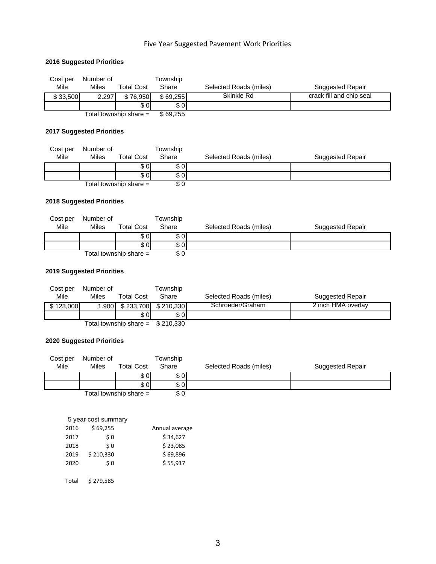## Five Year Suggested Pavement Work Priorities

## **2016 Suggested Priorities**

| Cost per | Number of |                          | Township |                        |                          |
|----------|-----------|--------------------------|----------|------------------------|--------------------------|
| Mile     | Miles     | <b>Total Cost</b>        | Share    | Selected Roads (miles) | Suggested Repair         |
| \$33,500 | 2.297     | \$76,950                 | \$69.255 | Skinkle Rd             | crack fill and chip seal |
|          |           | \$ 0 I                   | \$0      |                        |                          |
|          |           | Total township share $=$ | \$69,255 |                        |                          |

#### **2017 Suggested Priorities**

| Cost per | Number of |                          | <b>Township</b> |                        |                  |
|----------|-----------|--------------------------|-----------------|------------------------|------------------|
| Mile     | Miles     | <b>Total Cost</b>        | Share           | Selected Roads (miles) | Suggested Repair |
|          |           | \$01                     | \$0             |                        |                  |
|          |           | \$ OI                    | \$0             |                        |                  |
|          |           | Total township share $=$ | \$0             |                        |                  |

#### **2018 Suggested Priorities**

| Cost per | Number of    |                          | Township |                        |                  |
|----------|--------------|--------------------------|----------|------------------------|------------------|
| Mile     | <b>Miles</b> | <b>Total Cost</b>        | Share    | Selected Roads (miles) | Suggested Repair |
|          |              | \$ OI                    | \$ OI    |                        |                  |
|          |              | s ol                     | \$ 0 I   |                        |                  |
|          |              | Total township share $=$ | \$0      |                        |                  |

#### **2019 Suggested Priorities**

| Cost per  | Number of |                                   | Township |                        |                    |
|-----------|-----------|-----------------------------------|----------|------------------------|--------------------|
| Mile      | Miles     | <b>Total Cost</b>                 | Share    | Selected Roads (miles) | Suggested Repair   |
| \$123,000 |           | 1.900 \, \$ 233,700 \, \$ 210,330 |          | Schroeder/Graham       | 2 inch HMA overlay |
|           |           | s ol                              | \$ OI    |                        |                    |
|           |           | Total township share = $$210,330$ |          |                        |                    |

#### **2020 Suggested Priorities**

| Cost per | Number of    |                          | <b>Township</b> |                        |                  |
|----------|--------------|--------------------------|-----------------|------------------------|------------------|
| Mile     | <b>Miles</b> | <b>Total Cost</b>        | Share           | Selected Roads (miles) | Suggested Repair |
|          |              | s ol                     | s ol            |                        |                  |
|          |              | \$0                      | \$ 0 I          |                        |                  |
|          |              | Total township share $=$ | \$0             |                        |                  |

|       | 5 year cost summary |                |
|-------|---------------------|----------------|
| 2016  | \$69,255            | Annual average |
| 2017  | \$0                 | \$34.627       |
| 2018  | \$0                 | \$23,085       |
| 2019  | \$210,330           | \$69,896       |
| 2020  | \$ 0                | \$55,917       |
|       |                     |                |
| Total | \$279.585           |                |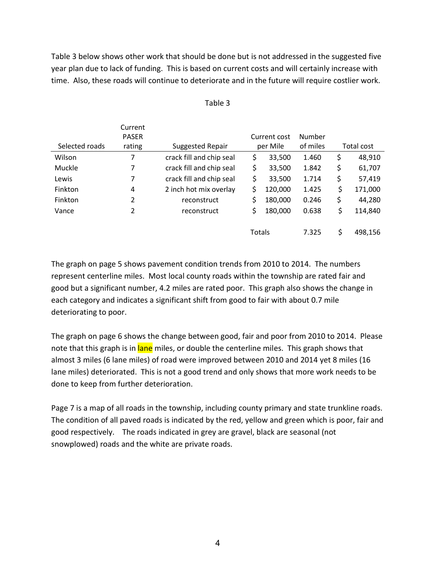Table 3 below shows other work that should be done but is not addressed in the suggested five year plan due to lack of funding. This is based on current costs and will certainly increase with time. Also, these roads will continue to deteriorate and in the future will require costlier work.

|                | Current      |                          |               |          |    |            |
|----------------|--------------|--------------------------|---------------|----------|----|------------|
|                | <b>PASER</b> |                          | Current cost  | Number   |    |            |
| Selected roads | rating       | <b>Suggested Repair</b>  | per Mile      | of miles |    | Total cost |
| Wilson         | 7            | crack fill and chip seal | \$<br>33,500  | 1.460    | \$ | 48,910     |
| Muckle         | 7            | crack fill and chip seal | \$<br>33,500  | 1.842    | \$ | 61,707     |
| Lewis          | 7            | crack fill and chip seal | \$<br>33,500  | 1.714    | \$ | 57,419     |
| Finkton        | 4            | 2 inch hot mix overlay   | \$<br>120,000 | 1.425    | \$ | 171,000    |
| Finkton        | 2            | reconstruct              | \$<br>180,000 | 0.246    | \$ | 44,280     |
| Vance          | 2            | reconstruct              | \$<br>180,000 | 0.638    | \$ | 114,840    |
|                |              |                          |               |          |    |            |
|                |              |                          | Totals        | 7.325    | Ś  | 498,156    |

| able |  |
|------|--|
|------|--|

The graph on page 5 shows pavement condition trends from 2010 to 2014. The numbers represent centerline miles. Most local county roads within the township are rated fair and good but a significant number, 4.2 miles are rated poor. This graph also shows the change in each category and indicates a significant shift from good to fair with about 0.7 mile deteriorating to poor.

The graph on page 6 shows the change between good, fair and poor from 2010 to 2014. Please note that this graph is in lane miles, or double the centerline miles. This graph shows that almost 3 miles (6 lane miles) of road were improved between 2010 and 2014 yet 8 miles (16 lane miles) deteriorated. This is not a good trend and only shows that more work needs to be done to keep from further deterioration.

Page 7 is a map of all roads in the township, including county primary and state trunkline roads. The condition of all paved roads is indicated by the red, yellow and green which is poor, fair and good respectively. The roads indicated in grey are gravel, black are seasonal (not snowplowed) roads and the white are private roads.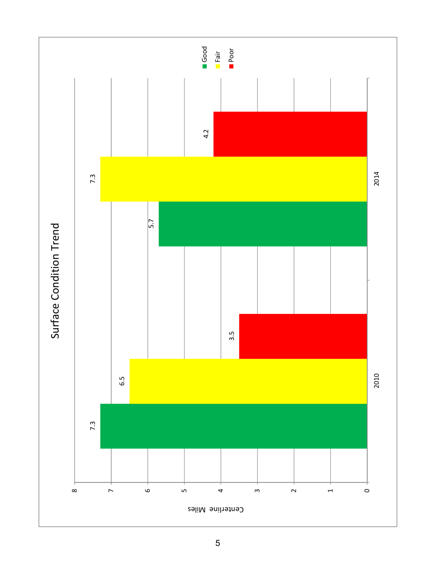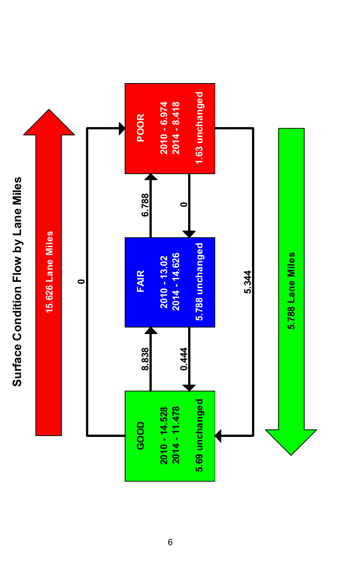